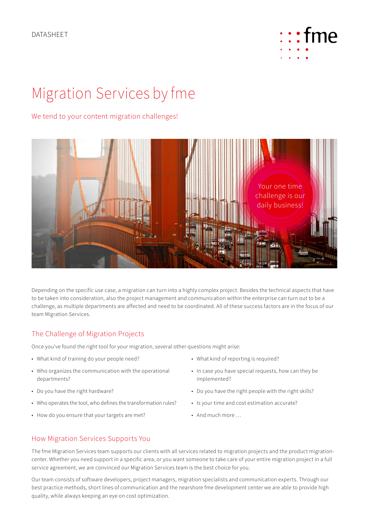

# Migration Services by fme

#### We tend to your content migration challenges!



Depending on the specific use case, a migration can turn into a highly complex project. Besides the technical aspects that have to be taken into consideration, also the project management and communication within the enterprise can turn out to be a challenge, as multiple departments are affected and need to be coordinated. All of these success factors are in the focus of our team Migration Services.

#### The Challenge of Migration Projects

Once you've found the right tool for your migration, several other questions might arise:

- What kind of training do your people need?
- Who organizes the communication with the operational departments?
- Do you have the right hardware?
- Who operates the tool, who defines the transformation rules?
- How do you ensure that your targets are met?
- What kind of reporting is required?
- In case you have special requests, how can they be implemented?
- Do you have the right people with the right skills?
- Is your time and cost estimation accurate?
- And much more …

#### How Migration Services Supports You

The fme Migration Services team supports our clients with all services related to migration projects and the product migrationcenter. Whether you need support in a specific area, or you want someone to take care of your entire migration project in a full service agreement, we are convinced our Migration Services team is the best choice for you.

Our team consists of software developers, project managers, migration specialists and communication experts. Through our best practice methods, short lines of communication and the nearshore fme development center we are able to provide high quality, while always keeping an eye on cost optimization.